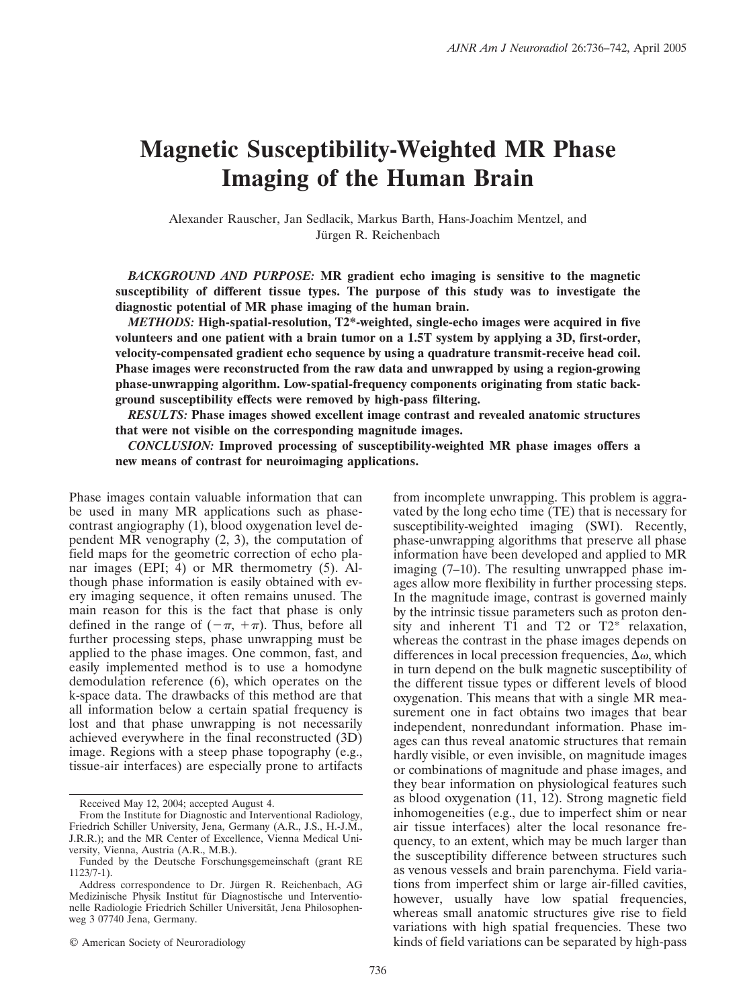# **Magnetic Susceptibility-Weighted MR Phase Imaging of the Human Brain**

Alexander Rauscher, Jan Sedlacik, Markus Barth, Hans-Joachim Mentzel, and Jürgen R. Reichenbach

*BACKGROUND AND PURPOSE:* **MR gradient echo imaging is sensitive to the magnetic susceptibility of different tissue types. The purpose of this study was to investigate the diagnostic potential of MR phase imaging of the human brain.**

*METHODS:* **High-spatial-resolution, T2\*-weighted, single-echo images were acquired in five volunteers and one patient with a brain tumor on a 1.5T system by applying a 3D, first-order, velocity-compensated gradient echo sequence by using a quadrature transmit-receive head coil. Phase images were reconstructed from the raw data and unwrapped by using a region-growing phase-unwrapping algorithm. Low-spatial-frequency components originating from static background susceptibility effects were removed by high-pass filtering.**

*RESULTS:* **Phase images showed excellent image contrast and revealed anatomic structures that were not visible on the corresponding magnitude images.**

*CONCLUSION:* **Improved processing of susceptibility-weighted MR phase images offers a new means of contrast for neuroimaging applications.**

Phase images contain valuable information that can be used in many MR applications such as phasecontrast angiography (1), blood oxygenation level dependent MR venography (2, 3), the computation of field maps for the geometric correction of echo planar images (EPI; 4) or MR thermometry (5). Although phase information is easily obtained with every imaging sequence, it often remains unused. The main reason for this is the fact that phase is only defined in the range of  $(-\pi, +\pi)$ . Thus, before all further processing steps, phase unwrapping must be applied to the phase images. One common, fast, and easily implemented method is to use a homodyne demodulation reference (6), which operates on the k-space data. The drawbacks of this method are that all information below a certain spatial frequency is lost and that phase unwrapping is not necessarily achieved everywhere in the final reconstructed (3D) image. Regions with a steep phase topography (e.g., tissue-air interfaces) are especially prone to artifacts

© American Society of Neuroradiology

from incomplete unwrapping. This problem is aggravated by the long echo time (TE) that is necessary for susceptibility-weighted imaging (SWI). Recently, phase-unwrapping algorithms that preserve all phase information have been developed and applied to MR imaging (7–10). The resulting unwrapped phase images allow more flexibility in further processing steps. In the magnitude image, contrast is governed mainly by the intrinsic tissue parameters such as proton density and inherent T1 and T2 or T2\* relaxation, whereas the contrast in the phase images depends on differences in local precession frequencies,  $\Delta \omega$ , which in turn depend on the bulk magnetic susceptibility of the different tissue types or different levels of blood oxygenation. This means that with a single MR measurement one in fact obtains two images that bear independent, nonredundant information. Phase images can thus reveal anatomic structures that remain hardly visible, or even invisible, on magnitude images or combinations of magnitude and phase images, and they bear information on physiological features such as blood oxygenation (11, 12). Strong magnetic field inhomogeneities (e.g., due to imperfect shim or near air tissue interfaces) alter the local resonance frequency, to an extent, which may be much larger than the susceptibility difference between structures such as venous vessels and brain parenchyma. Field variations from imperfect shim or large air-filled cavities, however, usually have low spatial frequencies, whereas small anatomic structures give rise to field variations with high spatial frequencies. These two kinds of field variations can be separated by high-pass

Received May 12, 2004; accepted August 4.

From the Institute for Diagnostic and Interventional Radiology, Friedrich Schiller University, Jena, Germany (A.R., J.S., H.-J.M., J.R.R.); and the MR Center of Excellence, Vienna Medical University, Vienna, Austria (A.R., M.B.).

Funded by the Deutsche Forschungsgemeinschaft (grant RE 1123/7-1).

Address correspondence to Dr. Jürgen R. Reichenbach, AG Medizinische Physik Institut für Diagnostische und Interventionelle Radiologie Friedrich Schiller Universität, Jena Philosophenweg 3 07740 Jena, Germany.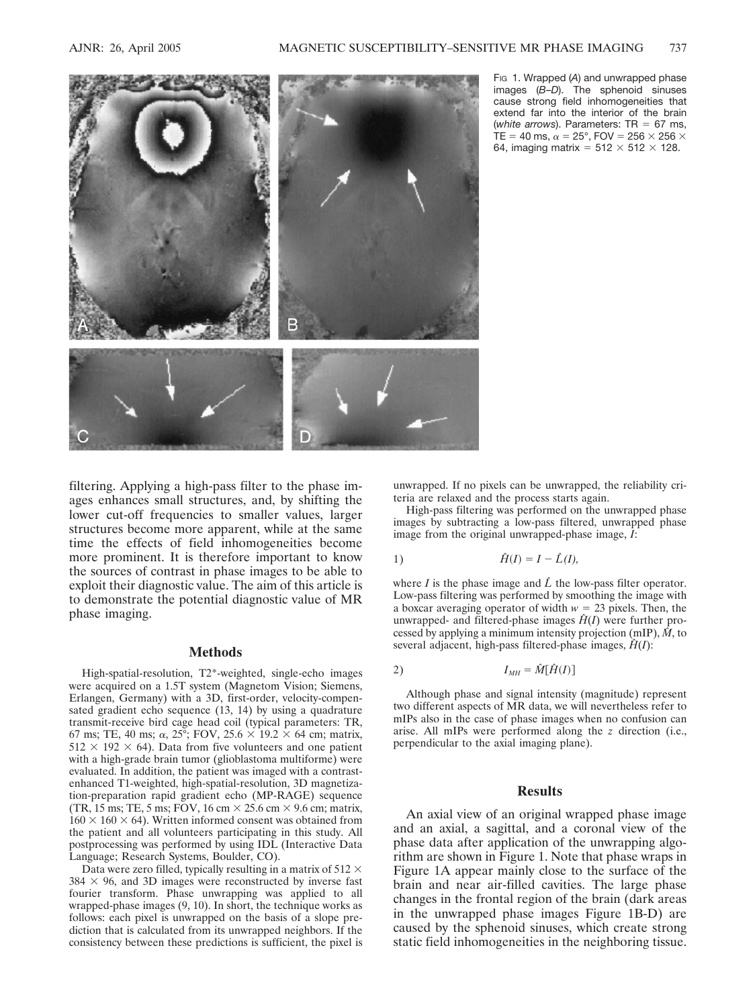

FIG 1. Wrapped (*A*) and unwrapped phase images (*B*–*D*). The sphenoid sinuses cause strong field inhomogeneities that extend far into the interior of the brain (*white arrows*). Parameters:  $TR = 67$  ms, TE = 40 ms,  $\alpha$  = 25°, FOV = 256  $\times$  256  $\times$ 64, imaging matrix =  $512 \times 512 \times 128$ .

filtering. Applying a high-pass filter to the phase images enhances small structures, and, by shifting the lower cut-off frequencies to smaller values, larger structures become more apparent, while at the same time the effects of field inhomogeneities become more prominent. It is therefore important to know the sources of contrast in phase images to be able to exploit their diagnostic value. The aim of this article is to demonstrate the potential diagnostic value of MR phase imaging.

### **Methods**

High-spatial-resolution, T2\*-weighted, single-echo images were acquired on a 1.5T system (Magnetom Vision; Siemens, Erlangen, Germany) with a 3D, first-order, velocity-compensated gradient echo sequence (13, 14) by using a quadrature transmit-receive bird cage head coil (typical parameters: TR, 67 ms; TE, 40 ms;  $\alpha$ , 25°; FOV, 25.6  $\times$  19.2  $\times$  64 cm; matrix,  $512 \times 192 \times 64$ ). Data from five volunteers and one patient with a high-grade brain tumor (glioblastoma multiforme) were evaluated. In addition, the patient was imaged with a contrastenhanced T1-weighted, high-spatial-resolution, 3D magnetization-preparation rapid gradient echo (MP-RAGE) sequence (TR, 15 ms; TE, 5 ms; FOV, 16 cm  $\times$  25.6 cm  $\times$  9.6 cm; matrix,  $160 \times 160 \times 64$ ). Written informed consent was obtained from the patient and all volunteers participating in this study. All postprocessing was performed by using IDL (Interactive Data Language; Research Systems, Boulder, CO).

Data were zero filled, typically resulting in a matrix of  $512 \times$  $384 \times 96$ , and 3D images were reconstructed by inverse fast fourier transform. Phase unwrapping was applied to all wrapped-phase images (9, 10). In short, the technique works as follows: each pixel is unwrapped on the basis of a slope prediction that is calculated from its unwrapped neighbors. If the consistency between these predictions is sufficient, the pixel is

unwrapped. If no pixels can be unwrapped, the reliability criteria are relaxed and the process starts again.

High-pass filtering was performed on the unwrapped phase images by subtracting a low-pass filtered, unwrapped phase image from the original unwrapped-phase image, *I*:

$$
\hat{H}(I) = I - \hat{L}(I),
$$

where  $I$  is the phase image and  $\hat{L}$  the low-pass filter operator. Low-pass filtering was performed by smoothing the image with a boxcar averaging operator of width  $w = 23$  pixels. Then, the unwrapped- and filtered-phase images  $\hat{H}(I)$  were further processed by applying a minimum intensity projection (mIP), *Mˆ* , to several adjacent, high-pass filtered-phase images,  $\hat{H}(I)$ :

$$
I_{MH} = \hat{M}[\hat{H}(I)]
$$

Although phase and signal intensity (magnitude) represent two different aspects of MR data, we will nevertheless refer to mIPs also in the case of phase images when no confusion can arise. All mIPs were performed along the *z* direction (i.e., perpendicular to the axial imaging plane).

#### **Results**

An axial view of an original wrapped phase image and an axial, a sagittal, and a coronal view of the phase data after application of the unwrapping algorithm are shown in Figure 1. Note that phase wraps in Figure 1A appear mainly close to the surface of the brain and near air-filled cavities. The large phase changes in the frontal region of the brain (dark areas in the unwrapped phase images Figure 1B-D) are caused by the sphenoid sinuses, which create strong static field inhomogeneities in the neighboring tissue.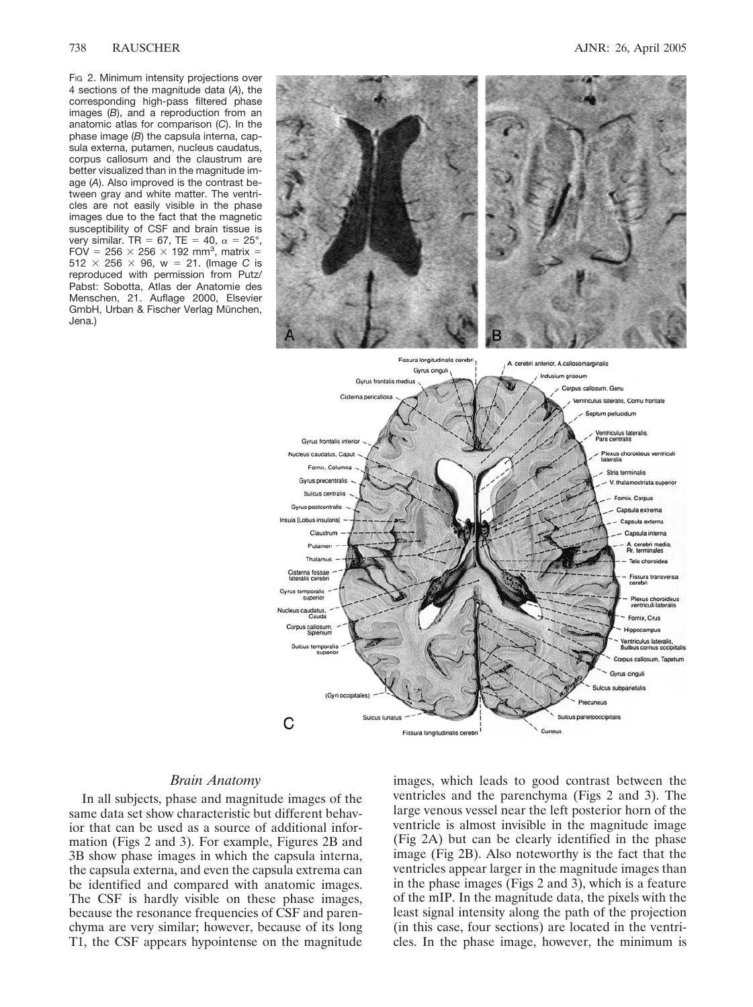#### 738 RAUSCHER AJNR: 26, April 2005

FIG 2. Minimum intensity projections over 4 sections of the magnitude data (*A*), the corresponding high-pass filtered phase images (*B*), and a reproduction from an anatomic atlas for comparison (*C*). In the phase image (*B*) the capsula interna, capsula externa, putamen, nucleus caudatus, corpus callosum and the claustrum are better visualized than in the magnitude image (*A*). Also improved is the contrast between gray and white matter. The ventricles are not easily visible in the phase images due to the fact that the magnetic susceptibility of CSF and brain tissue is very similar. TR = 67, TE = 40,  $\alpha = 25^{\circ}$ , FOV = 256  $\times$  256  $\times$  192 mm<sup>3</sup>, matrix = 512  $\times$  256  $\times$  96, w = 21. (Image *C* is reproduced with permission from Putz/ Pabst: Sobotta, Atlas der Anatomie des Menschen, 21. Auflage 2000, Elsevier GmbH, Urban & Fischer Verlag München, Jena.)



#### *Brain Anatomy*

In all subjects, phase and magnitude images of the same data set show characteristic but different behavior that can be used as a source of additional information (Figs 2 and 3). For example, Figures 2B and 3B show phase images in which the capsula interna, the capsula externa, and even the capsula extrema can be identified and compared with anatomic images. The CSF is hardly visible on these phase images, because the resonance frequencies of CSF and parenchyma are very similar; however, because of its long T1, the CSF appears hypointense on the magnitude

images, which leads to good contrast between the ventricles and the parenchyma (Figs 2 and 3). The large venous vessel near the left posterior horn of the ventricle is almost invisible in the magnitude image (Fig 2A) but can be clearly identified in the phase image (Fig 2B). Also noteworthy is the fact that the ventricles appear larger in the magnitude images than in the phase images (Figs 2 and 3), which is a feature of the mIP. In the magnitude data, the pixels with the least signal intensity along the path of the projection (in this case, four sections) are located in the ventricles. In the phase image, however, the minimum is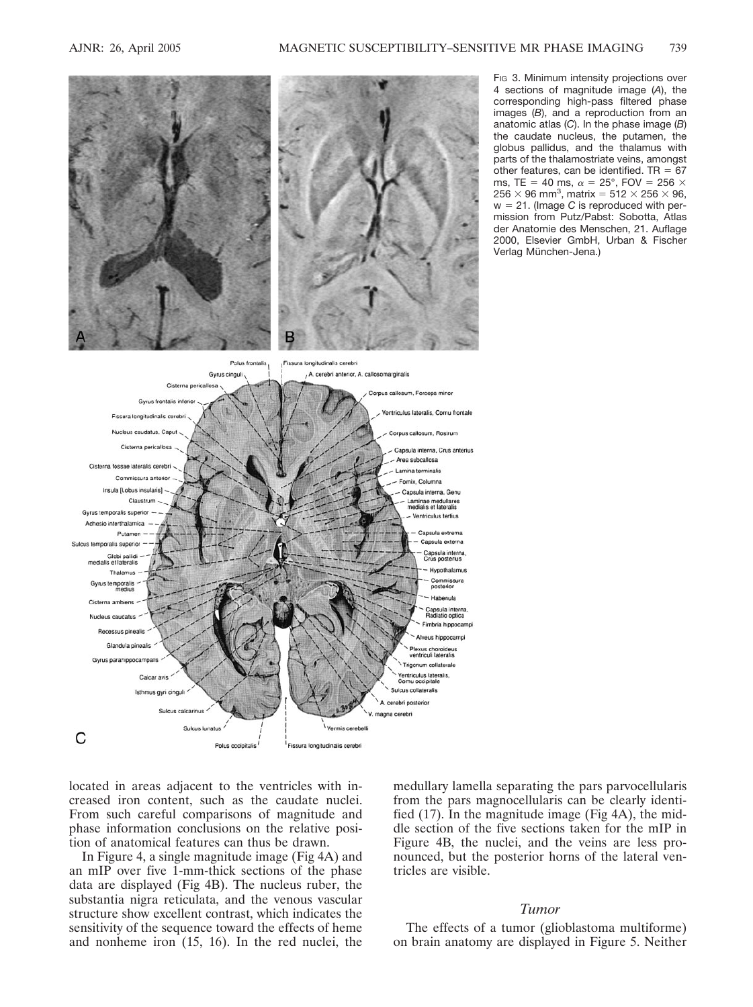

Fig 3. Minimum intensity projections over 4 sections of magnitude image (*A*), the corresponding high-pass filtered phase images (*B*), and a reproduction from an anatomic atlas (*C*). In the phase image (*B*) the caudate nucleus, the putamen, the globus pallidus, and the thalamus with parts of the thalamostriate veins, amongst other features, can be identified. TR  $= 67$ ms, TE = 40 ms,  $\alpha = 25^{\circ}$ , FOV = 256  $\times$ 256  $\times$  96 mm<sup>3</sup>, matrix = 512  $\times$  256  $\times$  96, w 21. (Image *C* is reproduced with permission from Putz/Pabst: Sobotta, Atlas der Anatomie des Menschen, 21. Auflage 2000, Elsevier GmbH, Urban & Fischer Verlag München-Jena.)

located in areas adjacent to the ventricles with increased iron content, such as the caudate nuclei. From such careful comparisons of magnitude and phase information conclusions on the relative position of anatomical features can thus be drawn.

In Figure 4, a single magnitude image (Fig 4A) and an mIP over five 1-mm-thick sections of the phase data are displayed (Fig 4B). The nucleus ruber, the substantia nigra reticulata, and the venous vascular structure show excellent contrast, which indicates the sensitivity of the sequence toward the effects of heme and nonheme iron (15, 16). In the red nuclei, the

medullary lamella separating the pars parvocellularis from the pars magnocellularis can be clearly identified (17). In the magnitude image (Fig 4A), the middle section of the five sections taken for the mIP in Figure 4B, the nuclei, and the veins are less pronounced, but the posterior horns of the lateral ventricles are visible.

# *Tumor*

The effects of a tumor (glioblastoma multiforme) on brain anatomy are displayed in Figure 5. Neither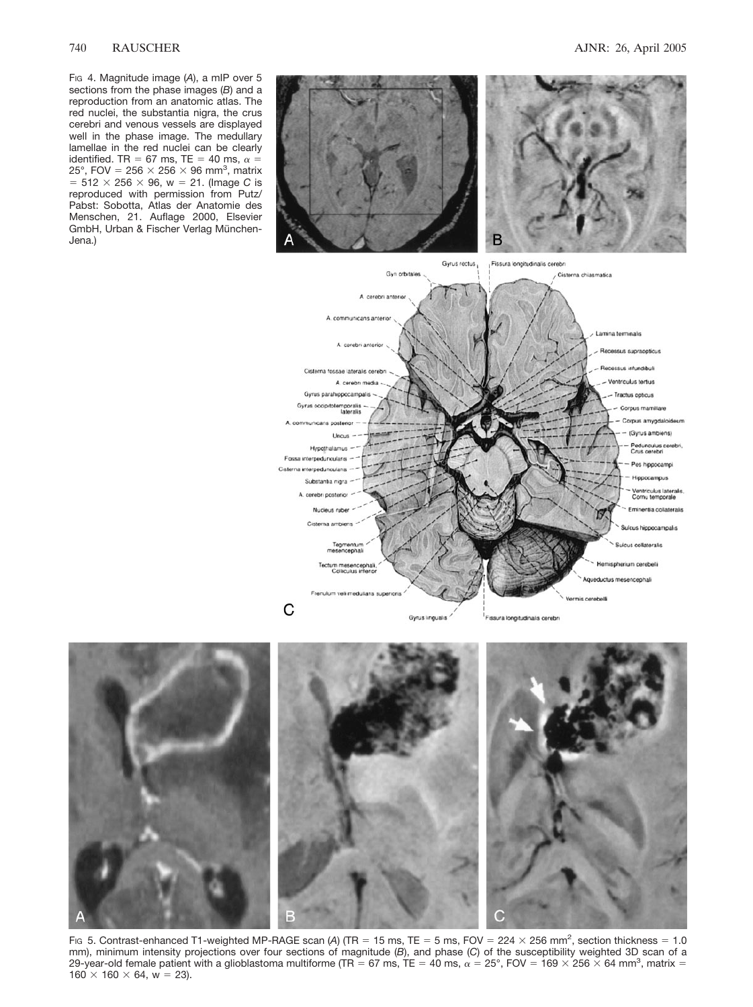FIG 4. Magnitude image (*A*), a mIP over 5 sections from the phase images (*B*) and a reproduction from an anatomic atlas. The red nuclei, the substantia nigra, the crus cerebri and venous vessels are displayed well in the phase image. The medullary lamellae in the red nuclei can be clearly identified. TR = 67 ms, TE = 40 ms,  $\alpha$  = 25°, FOV = 256  $\times$  256  $\times$  96 mm<sup>3</sup>, matrix  $= 512 \times 256 \times 96$ , w = 21. (Image *C* is reproduced with permission from Putz/ Pabst: Sobotta, Atlas der Anatomie des Menschen, 21. Auflage 2000, Elsevier GmbH, Urban & Fischer Verlag München-Jena.)





Fig 5. Contrast-enhanced T1-weighted MP-RAGE scan (A) (TR = 15 ms, TE = 5 ms, FOV =  $224 \times 256$  mm<sup>2</sup>, section thickness = 1.0 mm), minimum intensity projections over four sections of magnitude (*B*), and phase (*C*) of the susceptibility weighted 3D scan of a 29-year-old female patient with a glioblastoma multiforme (TR = 67 ms, TE = 40 ms,  $\alpha$  = 25°, FOV = 169  $\times$  256  $\times$  64 mm<sup>3</sup>, matrix =  $160 \times 160 \times 64$ , w = 23).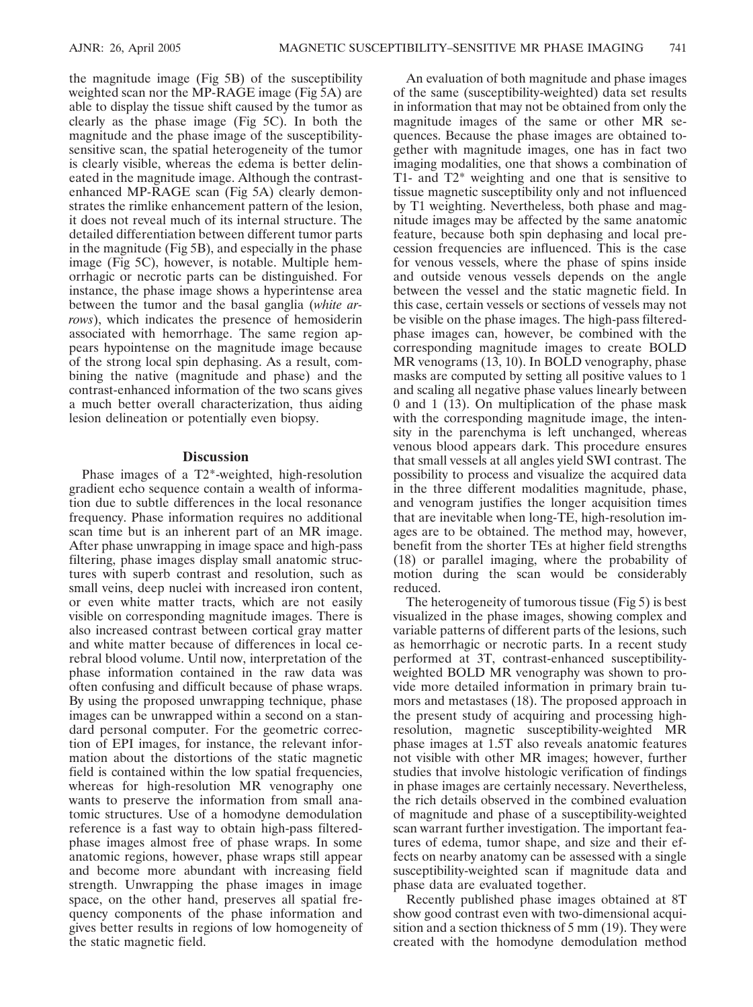the magnitude image (Fig 5B) of the susceptibility weighted scan nor the MP-RAGE image (Fig 5A) are able to display the tissue shift caused by the tumor as clearly as the phase image (Fig 5C). In both the magnitude and the phase image of the susceptibilitysensitive scan, the spatial heterogeneity of the tumor is clearly visible, whereas the edema is better delineated in the magnitude image. Although the contrastenhanced MP-RAGE scan (Fig 5A) clearly demonstrates the rimlike enhancement pattern of the lesion, it does not reveal much of its internal structure. The detailed differentiation between different tumor parts in the magnitude (Fig 5B), and especially in the phase image (Fig 5C), however, is notable. Multiple hemorrhagic or necrotic parts can be distinguished. For instance, the phase image shows a hyperintense area between the tumor and the basal ganglia (*white arrows*), which indicates the presence of hemosiderin associated with hemorrhage. The same region appears hypointense on the magnitude image because of the strong local spin dephasing. As a result, combining the native (magnitude and phase) and the contrast-enhanced information of the two scans gives a much better overall characterization, thus aiding lesion delineation or potentially even biopsy.

# **Discussion**

Phase images of a T2\*-weighted, high-resolution gradient echo sequence contain a wealth of information due to subtle differences in the local resonance frequency. Phase information requires no additional scan time but is an inherent part of an MR image. After phase unwrapping in image space and high-pass filtering, phase images display small anatomic structures with superb contrast and resolution, such as small veins, deep nuclei with increased iron content, or even white matter tracts, which are not easily visible on corresponding magnitude images. There is also increased contrast between cortical gray matter and white matter because of differences in local cerebral blood volume. Until now, interpretation of the phase information contained in the raw data was often confusing and difficult because of phase wraps. By using the proposed unwrapping technique, phase images can be unwrapped within a second on a standard personal computer. For the geometric correction of EPI images, for instance, the relevant information about the distortions of the static magnetic field is contained within the low spatial frequencies, whereas for high-resolution MR venography one wants to preserve the information from small anatomic structures. Use of a homodyne demodulation reference is a fast way to obtain high-pass filteredphase images almost free of phase wraps. In some anatomic regions, however, phase wraps still appear and become more abundant with increasing field strength. Unwrapping the phase images in image space, on the other hand, preserves all spatial frequency components of the phase information and gives better results in regions of low homogeneity of the static magnetic field.

An evaluation of both magnitude and phase images of the same (susceptibility-weighted) data set results in information that may not be obtained from only the magnitude images of the same or other MR sequences. Because the phase images are obtained together with magnitude images, one has in fact two imaging modalities, one that shows a combination of T1- and T2\* weighting and one that is sensitive to tissue magnetic susceptibility only and not influenced by T1 weighting. Nevertheless, both phase and magnitude images may be affected by the same anatomic feature, because both spin dephasing and local precession frequencies are influenced. This is the case for venous vessels, where the phase of spins inside and outside venous vessels depends on the angle between the vessel and the static magnetic field. In this case, certain vessels or sections of vessels may not be visible on the phase images. The high-pass filteredphase images can, however, be combined with the corresponding magnitude images to create BOLD MR venograms (13, 10). In BOLD venography, phase masks are computed by setting all positive values to 1 and scaling all negative phase values linearly between 0 and 1 (13). On multiplication of the phase mask with the corresponding magnitude image, the intensity in the parenchyma is left unchanged, whereas venous blood appears dark. This procedure ensures that small vessels at all angles yield SWI contrast. The possibility to process and visualize the acquired data in the three different modalities magnitude, phase, and venogram justifies the longer acquisition times that are inevitable when long-TE, high-resolution images are to be obtained. The method may, however, benefit from the shorter TEs at higher field strengths (18) or parallel imaging, where the probability of motion during the scan would be considerably reduced.

The heterogeneity of tumorous tissue (Fig 5) is best visualized in the phase images, showing complex and variable patterns of different parts of the lesions, such as hemorrhagic or necrotic parts. In a recent study performed at 3T, contrast-enhanced susceptibilityweighted BOLD MR venography was shown to provide more detailed information in primary brain tumors and metastases (18). The proposed approach in the present study of acquiring and processing highresolution, magnetic susceptibility-weighted MR phase images at 1.5T also reveals anatomic features not visible with other MR images; however, further studies that involve histologic verification of findings in phase images are certainly necessary. Nevertheless, the rich details observed in the combined evaluation of magnitude and phase of a susceptibility-weighted scan warrant further investigation. The important features of edema, tumor shape, and size and their effects on nearby anatomy can be assessed with a single susceptibility-weighted scan if magnitude data and phase data are evaluated together.

Recently published phase images obtained at 8T show good contrast even with two-dimensional acquisition and a section thickness of 5 mm (19). They were created with the homodyne demodulation method